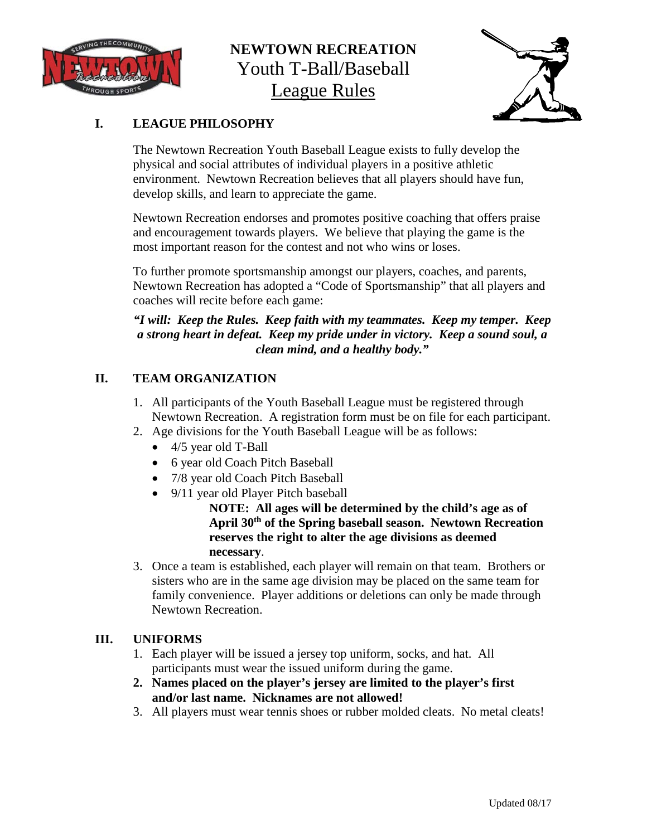

### **NEWTOWN RECREATION** Youth T-Ball/Baseball League Rules



### **I. LEAGUE PHILOSOPHY**

The Newtown Recreation Youth Baseball League exists to fully develop the physical and social attributes of individual players in a positive athletic environment. Newtown Recreation believes that all players should have fun, develop skills, and learn to appreciate the game.

Newtown Recreation endorses and promotes positive coaching that offers praise and encouragement towards players. We believe that playing the game is the most important reason for the contest and not who wins or loses.

To further promote sportsmanship amongst our players, coaches, and parents, Newtown Recreation has adopted a "Code of Sportsmanship" that all players and coaches will recite before each game:

### *"I will: Keep the Rules. Keep faith with my teammates. Keep my temper. Keep a strong heart in defeat. Keep my pride under in victory. Keep a sound soul, a clean mind, and a healthy body."*

### **II. TEAM ORGANIZATION**

- 1. All participants of the Youth Baseball League must be registered through Newtown Recreation. A registration form must be on file for each participant.
- 2. Age divisions for the Youth Baseball League will be as follows:
	- 4/5 year old T-Ball
	- 6 year old Coach Pitch Baseball
	- 7/8 year old Coach Pitch Baseball
	- 9/11 year old Player Pitch baseball

**NOTE: All ages will be determined by the child's age as of April 30th of the Spring baseball season. Newtown Recreation reserves the right to alter the age divisions as deemed necessary**.

3. Once a team is established, each player will remain on that team. Brothers or sisters who are in the same age division may be placed on the same team for family convenience. Player additions or deletions can only be made through Newtown Recreation.

### **III. UNIFORMS**

- 1. Each player will be issued a jersey top uniform, socks, and hat. All participants must wear the issued uniform during the game.
- **2. Names placed on the player's jersey are limited to the player's first and/or last name. Nicknames are not allowed!**
- 3. All players must wear tennis shoes or rubber molded cleats. No metal cleats!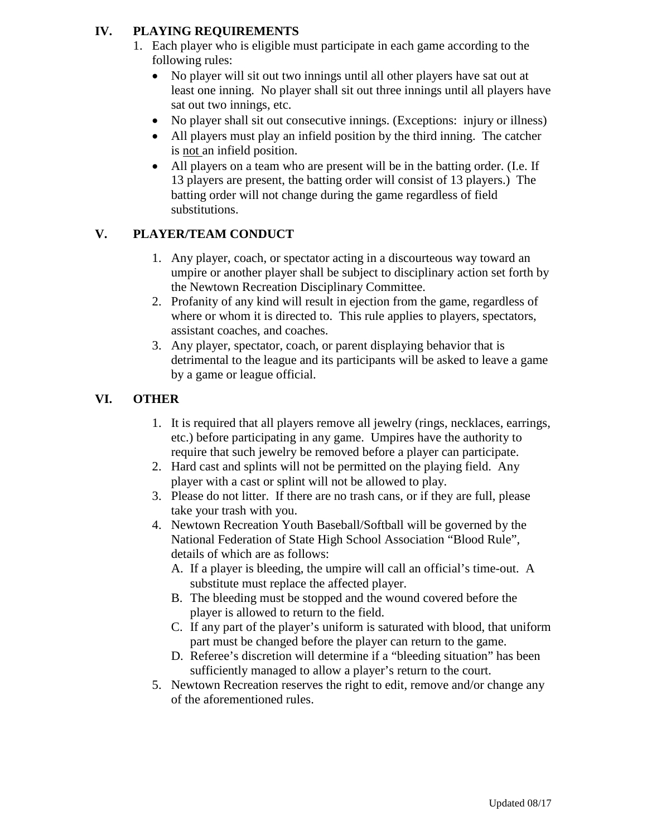### **IV. PLAYING REQUIREMENTS**

- 1. Each player who is eligible must participate in each game according to the following rules:
	- No player will sit out two innings until all other players have sat out at least one inning. No player shall sit out three innings until all players have sat out two innings, etc.
	- No player shall sit out consecutive innings. (Exceptions: injury or illness)
	- All players must play an infield position by the third inning. The catcher is not an infield position.
	- All players on a team who are present will be in the batting order. (I.e. If 13 players are present, the batting order will consist of 13 players.) The batting order will not change during the game regardless of field substitutions.

### **V. PLAYER/TEAM CONDUCT**

- 1. Any player, coach, or spectator acting in a discourteous way toward an umpire or another player shall be subject to disciplinary action set forth by the Newtown Recreation Disciplinary Committee.
- 2. Profanity of any kind will result in ejection from the game, regardless of where or whom it is directed to. This rule applies to players, spectators, assistant coaches, and coaches.
- 3. Any player, spectator, coach, or parent displaying behavior that is detrimental to the league and its participants will be asked to leave a game by a game or league official.

### **VI. OTHER**

- 1. It is required that all players remove all jewelry (rings, necklaces, earrings, etc.) before participating in any game. Umpires have the authority to require that such jewelry be removed before a player can participate.
- 2. Hard cast and splints will not be permitted on the playing field. Any player with a cast or splint will not be allowed to play.
- 3. Please do not litter. If there are no trash cans, or if they are full, please take your trash with you.
- 4. Newtown Recreation Youth Baseball/Softball will be governed by the National Federation of State High School Association "Blood Rule", details of which are as follows:
	- A. If a player is bleeding, the umpire will call an official's time-out. A substitute must replace the affected player.
	- B. The bleeding must be stopped and the wound covered before the player is allowed to return to the field.
	- C. If any part of the player's uniform is saturated with blood, that uniform part must be changed before the player can return to the game.
	- D. Referee's discretion will determine if a "bleeding situation" has been sufficiently managed to allow a player's return to the court.
- 5. Newtown Recreation reserves the right to edit, remove and/or change any of the aforementioned rules.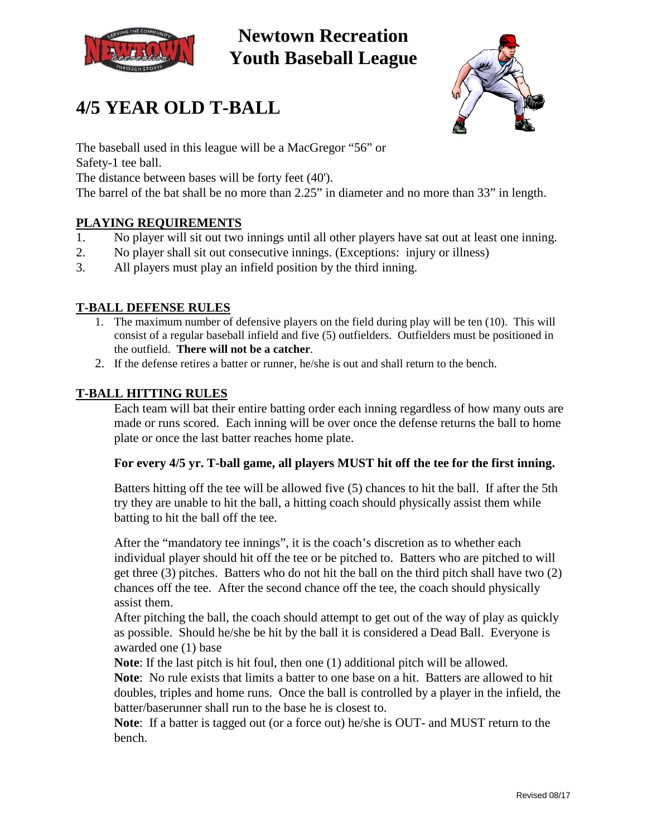





The baseball used in this league will be a MacGregor "56" or Safety-1 tee ball.

The distance between bases will be forty feet (40').

The barrel of the bat shall be no more than 2.25" in diameter and no more than 33" in length.

#### **PLAYING REQUIREMENTS**

- 1. No player will sit out two innings until all other players have sat out at least one inning.
- 2. No player shall sit out consecutive innings. (Exceptions: injury or illness)
- 3. All players must play an infield position by the third inning.

### **T-BALL DEFENSE RULES**

- 1. The maximum number of defensive players on the field during play will be ten (10). This will consist of a regular baseball infield and five (5) outfielders. Outfielders must be positioned in the outfield. **There will not be a catcher**.
- 2. If the defense retires a batter or runner, he/she is out and shall return to the bench.

#### **T-BALL HITTING RULES**

Each team will bat their entire batting order each inning regardless of how many outs are made or runs scored. Each inning will be over once the defense returns the ball to home plate or once the last batter reaches home plate.

#### **For every 4/5 yr. T-ball game, all players MUST hit off the tee for the first inning.**

Batters hitting off the tee will be allowed five (5) chances to hit the ball. If after the 5th try they are unable to hit the ball, a hitting coach should physically assist them while batting to hit the ball off the tee.

After the "mandatory tee innings", it is the coach's discretion as to whether each individual player should hit off the tee or be pitched to. Batters who are pitched to will get three (3) pitches. Batters who do not hit the ball on the third pitch shall have two (2) chances off the tee. After the second chance off the tee, the coach should physically assist them.

After pitching the ball, the coach should attempt to get out of the way of play as quickly as possible. Should he/she be hit by the ball it is considered a Dead Ball. Everyone is awarded one (1) base

**Note**: If the last pitch is hit foul, then one (1) additional pitch will be allowed.

**Note**: No rule exists that limits a batter to one base on a hit. Batters are allowed to hit doubles, triples and home runs. Once the ball is controlled by a player in the infield, the batter/baserunner shall run to the base he is closest to.

**Note**: If a batter is tagged out (or a force out) he/she is OUT- and MUST return to the bench.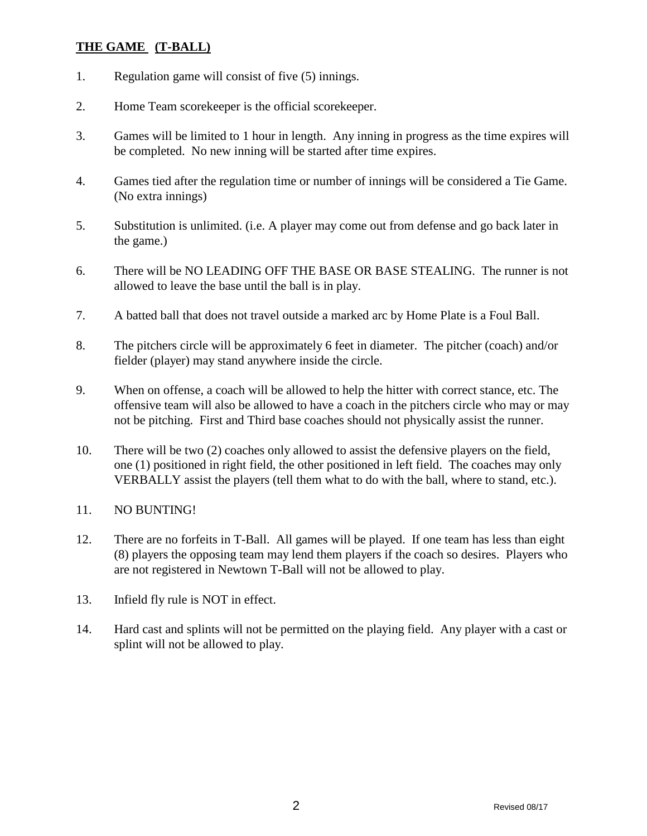### **THE GAME (T-BALL)**

- 1. Regulation game will consist of five (5) innings.
- 2. Home Team scorekeeper is the official scorekeeper.
- 3. Games will be limited to 1 hour in length. Any inning in progress as the time expires will be completed. No new inning will be started after time expires.
- 4. Games tied after the regulation time or number of innings will be considered a Tie Game. (No extra innings)
- 5. Substitution is unlimited. (i.e. A player may come out from defense and go back later in the game.)
- 6. There will be NO LEADING OFF THE BASE OR BASE STEALING. The runner is not allowed to leave the base until the ball is in play.
- 7. A batted ball that does not travel outside a marked arc by Home Plate is a Foul Ball.
- 8. The pitchers circle will be approximately 6 feet in diameter. The pitcher (coach) and/or fielder (player) may stand anywhere inside the circle.
- 9. When on offense, a coach will be allowed to help the hitter with correct stance, etc. The offensive team will also be allowed to have a coach in the pitchers circle who may or may not be pitching. First and Third base coaches should not physically assist the runner.
- 10. There will be two (2) coaches only allowed to assist the defensive players on the field, one (1) positioned in right field, the other positioned in left field. The coaches may only VERBALLY assist the players (tell them what to do with the ball, where to stand, etc.).
- 11. NO BUNTING!
- 12. There are no forfeits in T-Ball. All games will be played. If one team has less than eight (8) players the opposing team may lend them players if the coach so desires. Players who are not registered in Newtown T-Ball will not be allowed to play.
- 13. Infield fly rule is NOT in effect.
- 14. Hard cast and splints will not be permitted on the playing field. Any player with a cast or splint will not be allowed to play.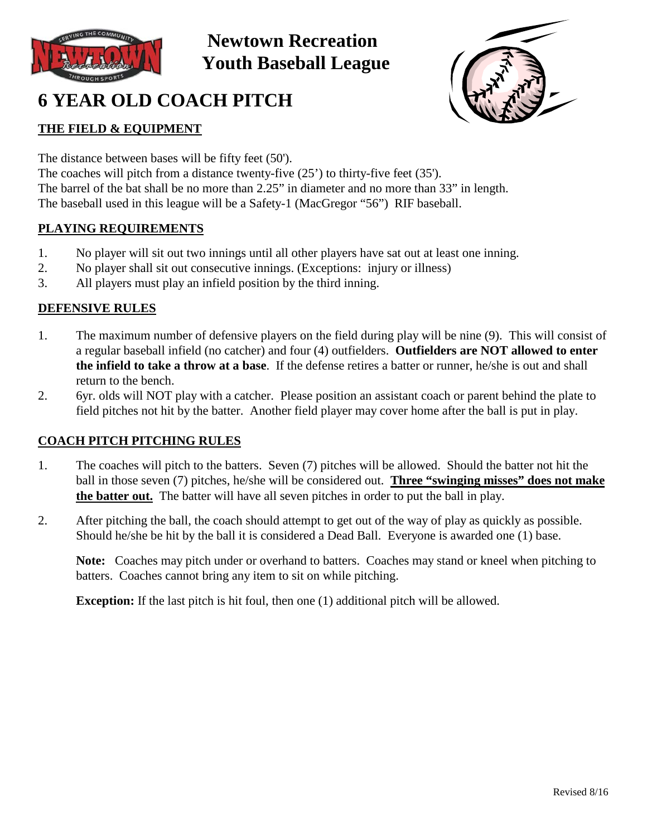

# **6 YEAR OLD COACH PITCH**



### **THE FIELD & EQUIPMENT**

The distance between bases will be fifty feet (50').

The coaches will pitch from a distance twenty-five (25') to thirty-five feet (35'). The barrel of the bat shall be no more than 2.25" in diameter and no more than 33" in length. The baseball used in this league will be a Safety-1 (MacGregor "56") RIF baseball.

### **PLAYING REQUIREMENTS**

- 1. No player will sit out two innings until all other players have sat out at least one inning.
- 2. No player shall sit out consecutive innings. (Exceptions: injury or illness)
- 3. All players must play an infield position by the third inning.

### **DEFENSIVE RULES**

- 1. The maximum number of defensive players on the field during play will be nine (9). This will consist of a regular baseball infield (no catcher) and four (4) outfielders. **Outfielders are NOT allowed to enter the infield to take a throw at a base**. If the defense retires a batter or runner, he/she is out and shall return to the bench.
- 2. 6yr. olds will NOT play with a catcher. Please position an assistant coach or parent behind the plate to field pitches not hit by the batter. Another field player may cover home after the ball is put in play.

### **COACH PITCH PITCHING RULES**

- 1. The coaches will pitch to the batters. Seven (7) pitches will be allowed. Should the batter not hit the ball in those seven (7) pitches, he/she will be considered out. **Three "swinging misses" does not make the batter out.** The batter will have all seven pitches in order to put the ball in play.
- 2. After pitching the ball, the coach should attempt to get out of the way of play as quickly as possible. Should he/she be hit by the ball it is considered a Dead Ball. Everyone is awarded one (1) base.

**Note:** Coaches may pitch under or overhand to batters. Coaches may stand or kneel when pitching to batters. Coaches cannot bring any item to sit on while pitching.

**Exception:** If the last pitch is hit foul, then one (1) additional pitch will be allowed.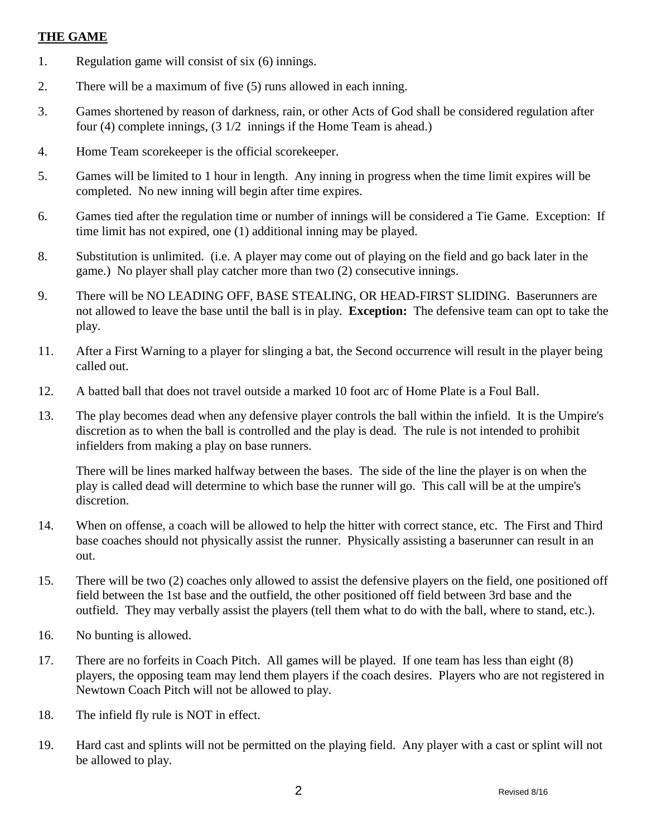#### **THE GAME**

- 1. Regulation game will consist of six (6) innings.
- 2. There will be a maximum of five (5) runs allowed in each inning.
- 3. Games shortened by reason of darkness, rain, or other Acts of God shall be considered regulation after four (4) complete innings, (3 1/2 innings if the Home Team is ahead.)
- 4. Home Team scorekeeper is the official scorekeeper.
- 5. Games will be limited to 1 hour in length. Any inning in progress when the time limit expires will be completed. No new inning will begin after time expires.
- 6. Games tied after the regulation time or number of innings will be considered a Tie Game. Exception: If time limit has not expired, one (1) additional inning may be played.
- 8. Substitution is unlimited. (i.e. A player may come out of playing on the field and go back later in the game.) No player shall play catcher more than two (2) consecutive innings.
- 9. There will be NO LEADING OFF, BASE STEALING, OR HEAD-FIRST SLIDING. Baserunners are not allowed to leave the base until the ball is in play. **Exception:** The defensive team can opt to take the play.
- 11. After a First Warning to a player for slinging a bat, the Second occurrence will result in the player being called out.
- 12. A batted ball that does not travel outside a marked 10 foot arc of Home Plate is a Foul Ball.
- 13. The play becomes dead when any defensive player controls the ball within the infield. It is the Umpire's discretion as to when the ball is controlled and the play is dead. The rule is not intended to prohibit infielders from making a play on base runners.

There will be lines marked halfway between the bases. The side of the line the player is on when the play is called dead will determine to which base the runner will go. This call will be at the umpire's discretion.

- 14. When on offense, a coach will be allowed to help the hitter with correct stance, etc. The First and Third base coaches should not physically assist the runner. Physically assisting a baserunner can result in an out.
- 15. There will be two (2) coaches only allowed to assist the defensive players on the field, one positioned off field between the 1st base and the outfield, the other positioned off field between 3rd base and the outfield. They may verbally assist the players (tell them what to do with the ball, where to stand, etc.).
- 16. No bunting is allowed.
- 17. There are no forfeits in Coach Pitch. All games will be played. If one team has less than eight (8) players, the opposing team may lend them players if the coach desires. Players who are not registered in Newtown Coach Pitch will not be allowed to play.
- 18. The infield fly rule is NOT in effect.
- 19. Hard cast and splints will not be permitted on the playing field. Any player with a cast or splint will not be allowed to play.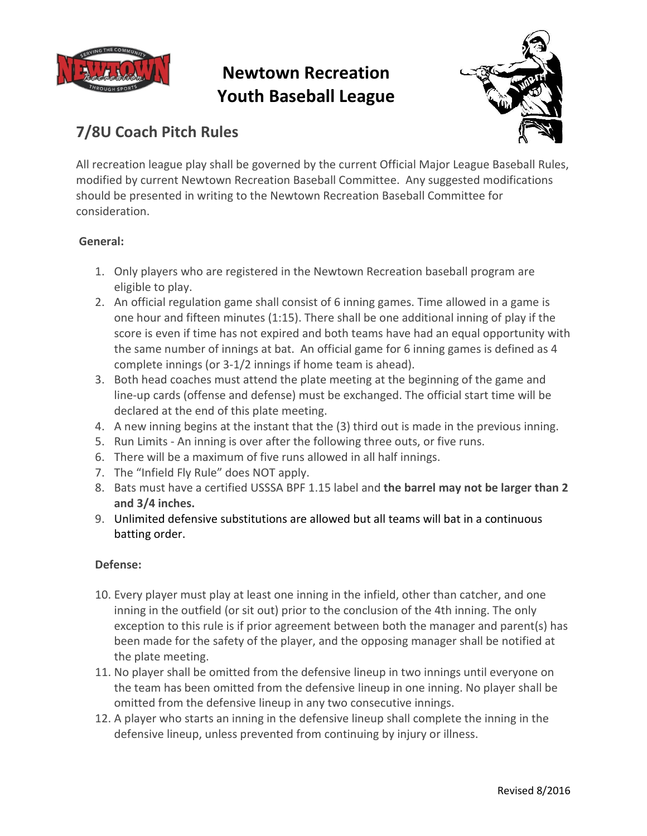



### **7/8U Coach Pitch Rules**

All recreation league play shall be governed by the current Official Major League Baseball Rules, modified by current Newtown Recreation Baseball Committee. Any suggested modifications should be presented in writing to the Newtown Recreation Baseball Committee for consideration.

### **General:**

- 1. Only players who are registered in the Newtown Recreation baseball program are eligible to play.
- 2. An official regulation game shall consist of 6 inning games. Time allowed in a game is one hour and fifteen minutes (1:15). There shall be one additional inning of play if the score is even if time has not expired and both teams have had an equal opportunity with the same number of innings at bat. An official game for 6 inning games is defined as 4 complete innings (or 3-1/2 innings if home team is ahead).
- 3. Both head coaches must attend the plate meeting at the beginning of the game and line-up cards (offense and defense) must be exchanged. The official start time will be declared at the end of this plate meeting.
- 4. A new inning begins at the instant that the (3) third out is made in the previous inning.
- 5. Run Limits An inning is over after the following three outs, or five runs.
- 6. There will be a maximum of five runs allowed in all half innings.
- 7. The "Infield Fly Rule" does NOT apply.
- 8. Bats must have a certified USSSA BPF 1.15 label and **the barrel may not be larger than 2 and 3/4 inches.**
- 9. Unlimited defensive substitutions are allowed but all teams will bat in a continuous batting order.

### **Defense:**

- 10. Every player must play at least one inning in the infield, other than catcher, and one inning in the outfield (or sit out) prior to the conclusion of the 4th inning. The only exception to this rule is if prior agreement between both the manager and parent(s) has been made for the safety of the player, and the opposing manager shall be notified at the plate meeting.
- 11. No player shall be omitted from the defensive lineup in two innings until everyone on the team has been omitted from the defensive lineup in one inning. No player shall be omitted from the defensive lineup in any two consecutive innings.
- 12. A player who starts an inning in the defensive lineup shall complete the inning in the defensive lineup, unless prevented from continuing by injury or illness.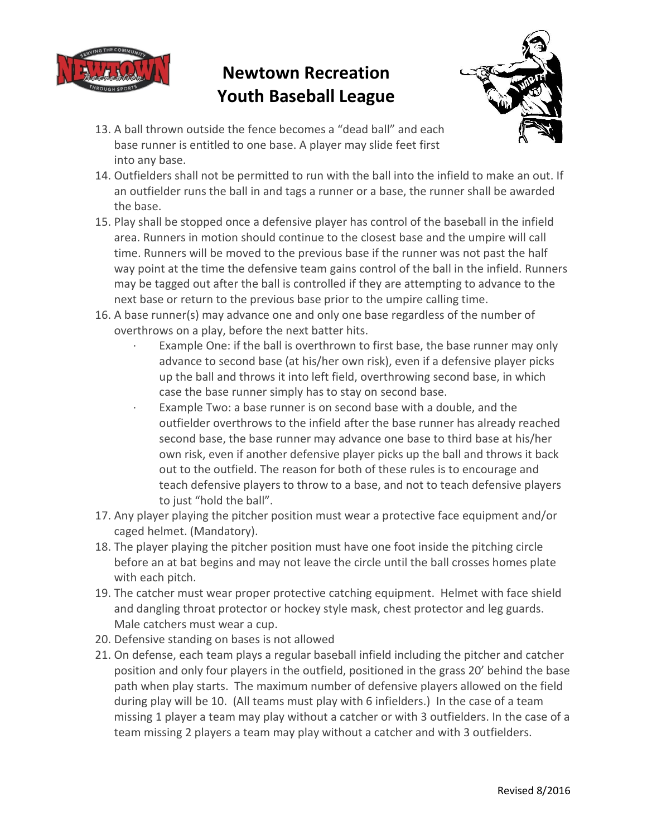



- 13. A ball thrown outside the fence becomes a "dead ball" and each base runner is entitled to one base. A player may slide feet first into any base.
- 14. Outfielders shall not be permitted to run with the ball into the infield to make an out. If an outfielder runs the ball in and tags a runner or a base, the runner shall be awarded the base.
- 15. Play shall be stopped once a defensive player has control of the baseball in the infield area. Runners in motion should continue to the closest base and the umpire will call time. Runners will be moved to the previous base if the runner was not past the half way point at the time the defensive team gains control of the ball in the infield. Runners may be tagged out after the ball is controlled if they are attempting to advance to the next base or return to the previous base prior to the umpire calling time.
- 16. A base runner(s) may advance one and only one base regardless of the number of overthrows on a play, before the next batter hits.
	- Example One: if the ball is overthrown to first base, the base runner may only advance to second base (at his/her own risk), even if a defensive player picks up the ball and throws it into left field, overthrowing second base, in which case the base runner simply has to stay on second base.
	- Example Two: a base runner is on second base with a double, and the outfielder overthrows to the infield after the base runner has already reached second base, the base runner may advance one base to third base at his/her own risk, even if another defensive player picks up the ball and throws it back out to the outfield. The reason for both of these rules is to encourage and teach defensive players to throw to a base, and not to teach defensive players to just "hold the ball".
- 17. Any player playing the pitcher position must wear a protective face equipment and/or caged helmet. (Mandatory).
- 18. The player playing the pitcher position must have one foot inside the pitching circle before an at bat begins and may not leave the circle until the ball crosses homes plate with each pitch.
- 19. The catcher must wear proper protective catching equipment. Helmet with face shield and dangling throat protector or hockey style mask, chest protector and leg guards. Male catchers must wear a cup.
- 20. Defensive standing on bases is not allowed
- 21. On defense, each team plays a regular baseball infield including the pitcher and catcher position and only four players in the outfield, positioned in the grass 20' behind the base path when play starts. The maximum number of defensive players allowed on the field during play will be 10. (All teams must play with 6 infielders.) In the case of a team missing 1 player a team may play without a catcher or with 3 outfielders. In the case of a team missing 2 players a team may play without a catcher and with 3 outfielders.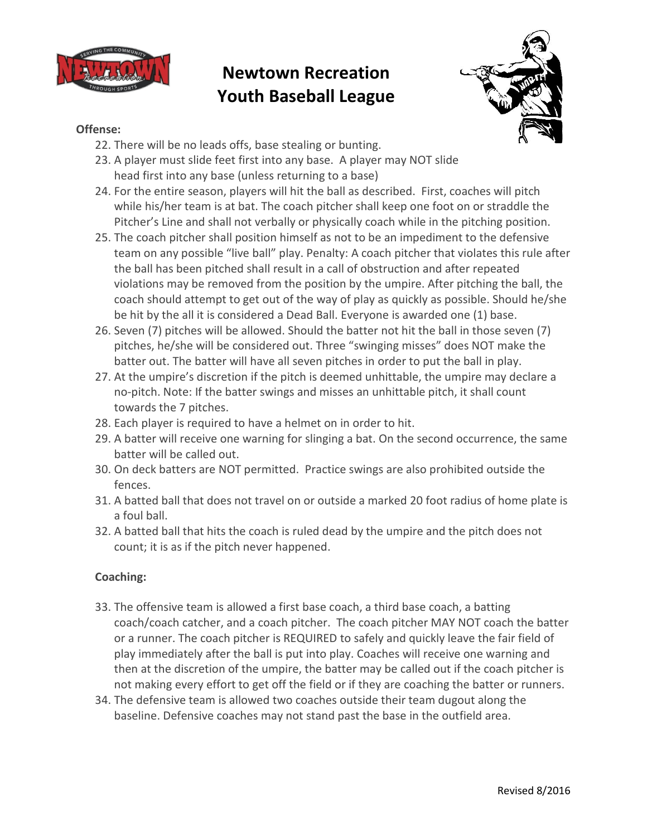



### **Offense:**

- 22. There will be no leads offs, base stealing or bunting.
- 23. A player must slide feet first into any base. A player may NOT slide head first into any base (unless returning to a base)
- 24. For the entire season, players will hit the ball as described. First, coaches will pitch while his/her team is at bat. The coach pitcher shall keep one foot on or straddle the Pitcher's Line and shall not verbally or physically coach while in the pitching position.
- 25. The coach pitcher shall position himself as not to be an impediment to the defensive team on any possible "live ball" play. Penalty: A coach pitcher that violates this rule after the ball has been pitched shall result in a call of obstruction and after repeated violations may be removed from the position by the umpire. After pitching the ball, the coach should attempt to get out of the way of play as quickly as possible. Should he/she be hit by the all it is considered a Dead Ball. Everyone is awarded one (1) base.
- 26. Seven (7) pitches will be allowed. Should the batter not hit the ball in those seven (7) pitches, he/she will be considered out. Three "swinging misses" does NOT make the batter out. The batter will have all seven pitches in order to put the ball in play.
- 27. At the umpire's discretion if the pitch is deemed unhittable, the umpire may declare a no-pitch. Note: If the batter swings and misses an unhittable pitch, it shall count towards the 7 pitches.
- 28. Each player is required to have a helmet on in order to hit.
- 29. A batter will receive one warning for slinging a bat. On the second occurrence, the same batter will be called out.
- 30. On deck batters are NOT permitted. Practice swings are also prohibited outside the fences.
- 31. A batted ball that does not travel on or outside a marked 20 foot radius of home plate is a foul ball.
- 32. A batted ball that hits the coach is ruled dead by the umpire and the pitch does not count; it is as if the pitch never happened.

### **Coaching:**

- 33. The offensive team is allowed a first base coach, a third base coach, a batting coach/coach catcher, and a coach pitcher. The coach pitcher MAY NOT coach the batter or a runner. The coach pitcher is REQUIRED to safely and quickly leave the fair field of play immediately after the ball is put into play. Coaches will receive one warning and then at the discretion of the umpire, the batter may be called out if the coach pitcher is not making every effort to get off the field or if they are coaching the batter or runners.
- 34. The defensive team is allowed two coaches outside their team dugout along the baseline. Defensive coaches may not stand past the base in the outfield area.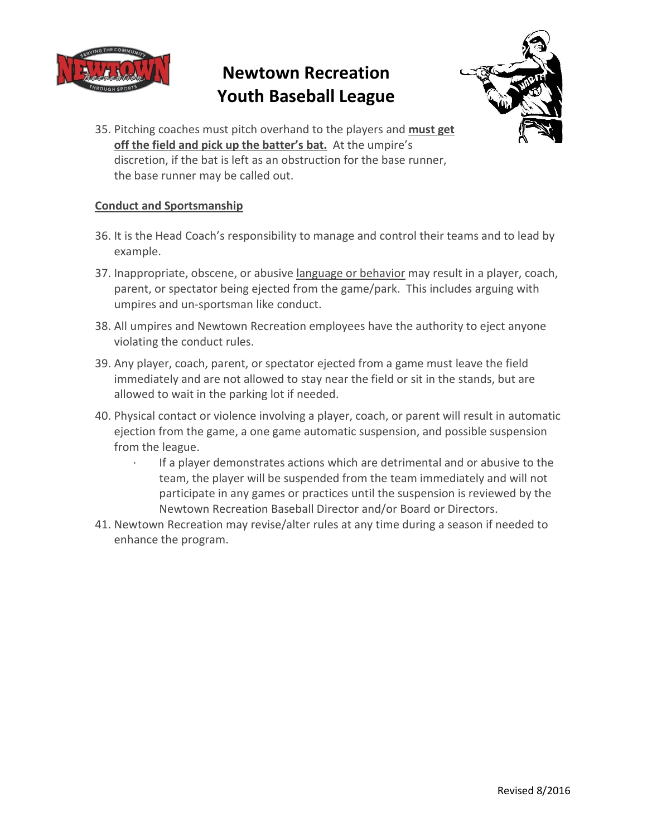



35. Pitching coaches must pitch overhand to the players and **must get off the field and pick up the batter's bat.** At the umpire's discretion, if the bat is left as an obstruction for the base runner, the base runner may be called out.

#### **Conduct and Sportsmanship**

- 36. It is the Head Coach's responsibility to manage and control their teams and to lead by example.
- 37. Inappropriate, obscene, or abusive language or behavior may result in a player, coach, parent, or spectator being ejected from the game/park. This includes arguing with umpires and un-sportsman like conduct.
- 38. All umpires and Newtown Recreation employees have the authority to eject anyone violating the conduct rules.
- 39. Any player, coach, parent, or spectator ejected from a game must leave the field immediately and are not allowed to stay near the field or sit in the stands, but are allowed to wait in the parking lot if needed.
- 40. Physical contact or violence involving a player, coach, or parent will result in automatic ejection from the game, a one game automatic suspension, and possible suspension from the league.
	- · If a player demonstrates actions which are detrimental and or abusive to the team, the player will be suspended from the team immediately and will not participate in any games or practices until the suspension is reviewed by the Newtown Recreation Baseball Director and/or Board or Directors.
- 41. Newtown Recreation may revise/alter rules at any time during a season if needed to enhance the program.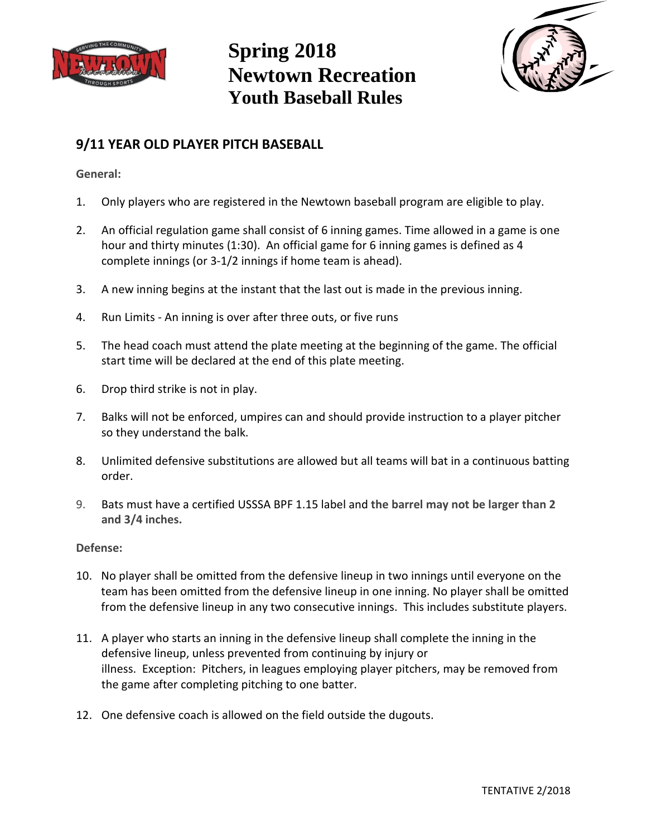



### **9/11 YEAR OLD PLAYER PITCH BASEBALL**

**General:**

- 1. Only players who are registered in the Newtown baseball program are eligible to play.
- 2. An official regulation game shall consist of 6 inning games. Time allowed in a game is one hour and thirty minutes (1:30). An official game for 6 inning games is defined as 4 complete innings (or 3-1/2 innings if home team is ahead).
- 3. A new inning begins at the instant that the last out is made in the previous inning.
- 4. Run Limits An inning is over after three outs, or five runs
- 5. The head coach must attend the plate meeting at the beginning of the game. The official start time will be declared at the end of this plate meeting.
- 6. Drop third strike is not in play.
- 7. Balks will not be enforced, umpires can and should provide instruction to a player pitcher so they understand the balk.
- 8. Unlimited defensive substitutions are allowed but all teams will bat in a continuous batting order.
- 9. Bats must have a certified USSSA BPF 1.15 label and **the barrel may not be larger than 2 and 3/4 inches.**

### **Defense:**

- 10. No player shall be omitted from the defensive lineup in two innings until everyone on the team has been omitted from the defensive lineup in one inning. No player shall be omitted from the defensive lineup in any two consecutive innings. This includes substitute players.
- 11. A player who starts an inning in the defensive lineup shall complete the inning in the defensive lineup, unless prevented from continuing by injury or illness. Exception: Pitchers, in leagues employing player pitchers, may be removed from the game after completing pitching to one batter.
- 12. One defensive coach is allowed on the field outside the dugouts.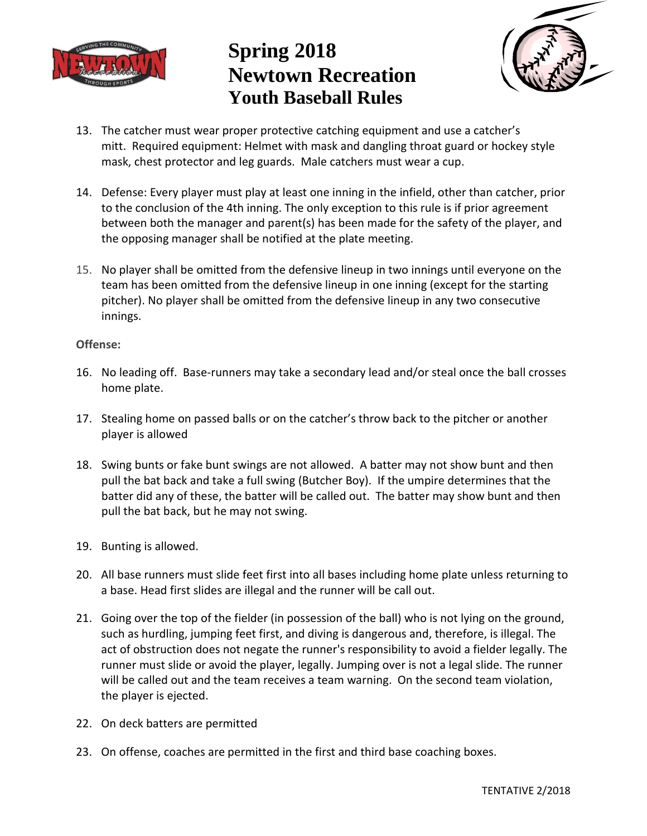



- 13. The catcher must wear proper protective catching equipment and use a catcher's mitt. Required equipment: Helmet with mask and dangling throat guard or hockey style mask, chest protector and leg guards. Male catchers must wear a cup.
- 14. Defense: Every player must play at least one inning in the infield, other than catcher, prior to the conclusion of the 4th inning. The only exception to this rule is if prior agreement between both the manager and parent(s) has been made for the safety of the player, and the opposing manager shall be notified at the plate meeting.
- 15. No player shall be omitted from the defensive lineup in two innings until everyone on the team has been omitted from the defensive lineup in one inning (except for the starting pitcher). No player shall be omitted from the defensive lineup in any two consecutive innings.

#### **Offense:**

- 16. No leading off. Base-runners may take a secondary lead and/or steal once the ball crosses home plate.
- 17. Stealing home on passed balls or on the catcher's throw back to the pitcher or another player is allowed
- 18. Swing bunts or fake bunt swings are not allowed. A batter may not show bunt and then pull the bat back and take a full swing (Butcher Boy). If the umpire determines that the batter did any of these, the batter will be called out. The batter may show bunt and then pull the bat back, but he may not swing.
- 19. Bunting is allowed.
- 20. All base runners must slide feet first into all bases including home plate unless returning to a base. Head first slides are illegal and the runner will be call out.
- 21. Going over the top of the fielder (in possession of the ball) who is not lying on the ground, such as hurdling, jumping feet first, and diving is dangerous and, therefore, is illegal. The act of obstruction does not negate the runner's responsibility to avoid a fielder legally. The runner must slide or avoid the player, legally. Jumping over is not a legal slide. The runner will be called out and the team receives a team warning. On the second team violation, the player is ejected.
- 22. On deck batters are permitted
- 23. On offense, coaches are permitted in the first and third base coaching boxes.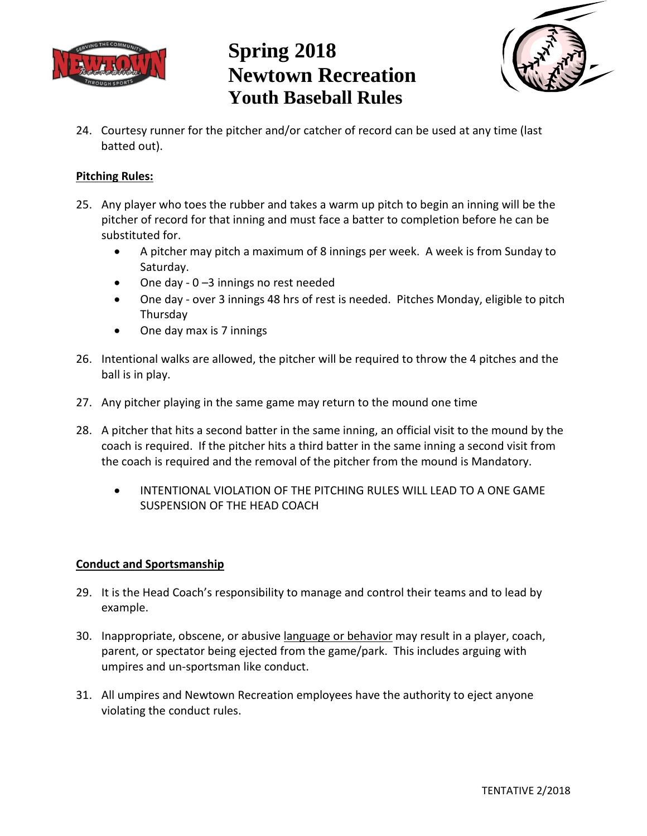



24. Courtesy runner for the pitcher and/or catcher of record can be used at any time (last batted out).

### **Pitching Rules:**

- 25. Any player who toes the rubber and takes a warm up pitch to begin an inning will be the pitcher of record for that inning and must face a batter to completion before he can be substituted for.
	- A pitcher may pitch a maximum of 8 innings per week. A week is from Sunday to Saturday.
	- One day 0 –3 innings no rest needed
	- One day over 3 innings 48 hrs of rest is needed. Pitches Monday, eligible to pitch Thursday
	- One day max is 7 innings
- 26. Intentional walks are allowed, the pitcher will be required to throw the 4 pitches and the ball is in play.
- 27. Any pitcher playing in the same game may return to the mound one time
- 28. A pitcher that hits a second batter in the same inning, an official visit to the mound by the coach is required. If the pitcher hits a third batter in the same inning a second visit from the coach is required and the removal of the pitcher from the mound is Mandatory.
	- INTENTIONAL VIOLATION OF THE PITCHING RULES WILL LEAD TO A ONE GAME SUSPENSION OF THE HEAD COACH

#### **Conduct and Sportsmanship**

- 29. It is the Head Coach's responsibility to manage and control their teams and to lead by example.
- 30. Inappropriate, obscene, or abusive language or behavior may result in a player, coach, parent, or spectator being ejected from the game/park. This includes arguing with umpires and un-sportsman like conduct.
- 31. All umpires and Newtown Recreation employees have the authority to eject anyone violating the conduct rules.